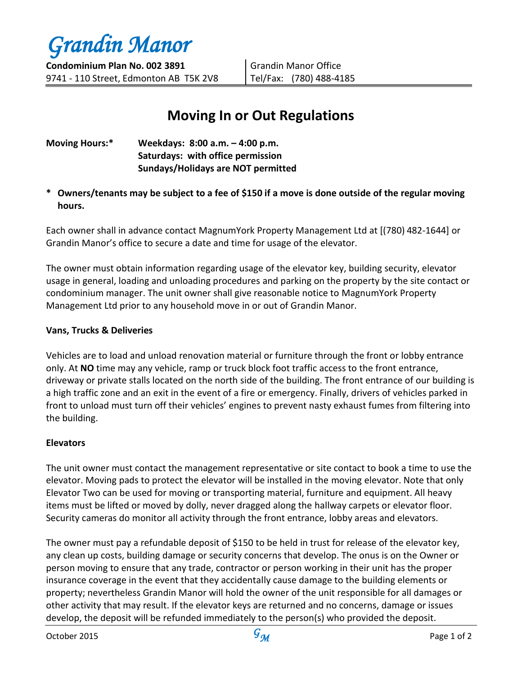

Grandin Manor Office Tel/Fax: (780) 488-4185

# **Moving In or Out Regulations**

| <b>Moving Hours:*</b> | Weekdays: 8:00 a.m. - 4:00 p.m.           |
|-----------------------|-------------------------------------------|
|                       | Saturdays: with office permission         |
|                       | <b>Sundays/Holidays are NOT permitted</b> |

**\* Owners/tenants may be subject to a fee of \$150 if a move is done outside of the regular moving hours.**

Each owner shall in advance contact MagnumYork Property Management Ltd at [(780) 482-1644] or Grandin Manor's office to secure a date and time for usage of the elevator.

The owner must obtain information regarding usage of the elevator key, building security, elevator usage in general, loading and unloading procedures and parking on the property by the site contact or condominium manager. The unit owner shall give reasonable notice to MagnumYork Property Management Ltd prior to any household move in or out of Grandin Manor.

## **Vans, Trucks & Deliveries**

Vehicles are to load and unload renovation material or furniture through the front or lobby entrance only. At **NO** time may any vehicle, ramp or truck block foot traffic access to the front entrance, driveway or private stalls located on the north side of the building. The front entrance of our building is a high traffic zone and an exit in the event of a fire or emergency. Finally, drivers of vehicles parked in front to unload must turn off their vehicles' engines to prevent nasty exhaust fumes from filtering into the building.

## **Elevators**

The unit owner must contact the management representative or site contact to book a time to use the elevator. Moving pads to protect the elevator will be installed in the moving elevator. Note that only Elevator Two can be used for moving or transporting material, furniture and equipment. All heavy items must be lifted or moved by dolly, never dragged along the hallway carpets or elevator floor. Security cameras do monitor all activity through the front entrance, lobby areas and elevators.

The owner must pay a refundable deposit of \$150 to be held in trust for release of the elevator key, any clean up costs, building damage or security concerns that develop. The onus is on the Owner or person moving to ensure that any trade, contractor or person working in their unit has the proper insurance coverage in the event that they accidentally cause damage to the building elements or property; nevertheless Grandin Manor will hold the owner of the unit responsible for all damages or other activity that may result. If the elevator keys are returned and no concerns, damage or issues develop, the deposit will be refunded immediately to the person(s) who provided the deposit.